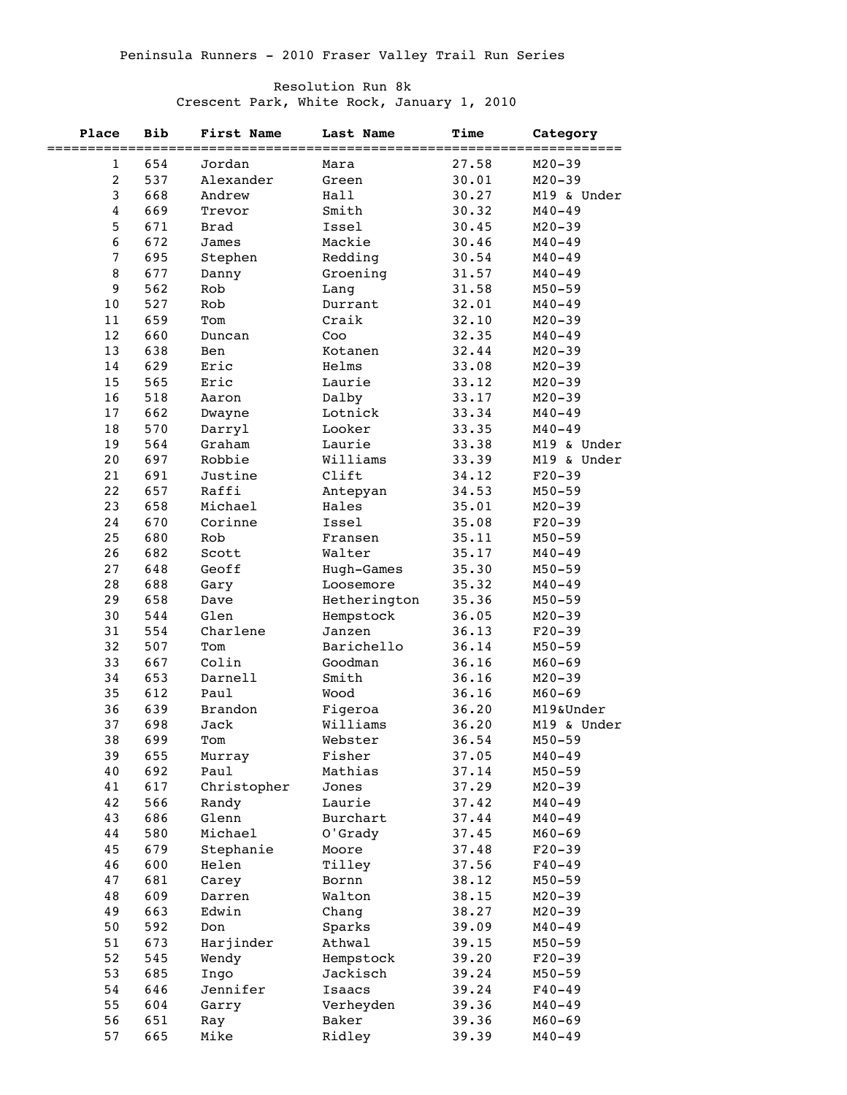## Resolution Run 8k

Crescent Park, White Rock, January 1, 2010

| Place          | <b>Bib</b> | <b>First Name</b> | Last Name         | <b>Time</b> | Category    |
|----------------|------------|-------------------|-------------------|-------------|-------------|
| 1              | 654        | Jordan            | Mara              | 27.58       | $M20 - 39$  |
| $\overline{c}$ | 537        | Alexander         | Green             | 30.01       | $M20 - 39$  |
| 3              | 668        | Andrew            | Hall              | 30.27       | M19 & Under |
| 4              | 669        | Trevor            | Smith             | 30.32       | $M40 - 49$  |
| 5              | 671        | Brad              | Issel             | 30.45       | $M20 - 39$  |
| 6              | 672        | James             | Mackie            | 30.46       | $M40 - 49$  |
| 7              | 695        | Stephen           | Redding           | 30.54       | $M40 - 49$  |
| 8              | 677        | Danny             | Groening          | 31.57       | $M40 - 49$  |
| 9              | 562        | Rob               | Lang              | 31.58       | $M50 - 59$  |
| 10             | 527        | Rob               | Durrant           | 32.01       | $M40 - 49$  |
| 11             | 659        | Tom               | Craik             | 32.10       | $M20 - 39$  |
| 12             | 660        | Duncan            | Coo               | 32.35       | $M40 - 49$  |
| 13             | 638        | Ben               | Kotanen           | 32.44       | $M20 - 39$  |
| 14             | 629        | Eric              | Helms             | 33.08       | $M20 - 39$  |
| 15             | 565        | Eric              | Laurie            | 33.12       | $M20 - 39$  |
| 16             | 518        | Aaron             | Dalby             | 33.17       | $M20 - 39$  |
| 17             | 662        | Dwayne            | Lotnick           | 33.34       | $M40 - 49$  |
| 18             | 570        | Darryl            | Looker            | 33.35       | $M40 - 49$  |
| 19             | 564        | Graham            | Laurie            | 33.38       | M19 & Under |
| 20             | 697        | Robbie            | Williams          | 33.39       | M19 & Under |
| 21             | 691        | Justine           | Clift             | 34.12       | $F20-39$    |
| 22             | 657        | Raffi             |                   | 34.53       | $M50 - 59$  |
| 23             | 658        | Michael           | Antepyan<br>Hales | 35.01       | $M20 - 39$  |
|                |            |                   |                   |             |             |
| 24             | 670        | Corinne           | Issel             | 35.08       | $F20-39$    |
| 25             | 680        | Rob               | Fransen           | 35.11       | $M50 - 59$  |
| 26             | 682        | Scott             | Walter            | 35.17       | $M40 - 49$  |
| 27             | 648        | Geoff             | Hugh-Games        | 35.30       | $M50 - 59$  |
| 28             | 688        | Gary              | Loosemore         | 35.32       | $M40 - 49$  |
| 29             | 658        | Dave              | Hetherington      | 35.36       | $M50 - 59$  |
| 30             | 544        | Glen              | Hempstock         | 36.05       | $M20 - 39$  |
| 31             | 554        | Charlene          | Janzen            | 36.13       | $F20-39$    |
| 32             | 507        | Tom               | Barichello        | 36.14       | $M50 - 59$  |
| 33             | 667        | Colin             | Goodman           | 36.16       | $M60 - 69$  |
| 34             | 653        | Darnell           | Smith             | 36.16       | $M20 - 39$  |
| 35             | 612        | Paul              | Wood              | 36.16       | $M60 - 69$  |
| 36             | 639        | Brandon           | Figeroa           | 36.20       | M19&Under   |
| 37             | 698        | Jack              | Williams          | 36.20       | M19 & Under |
| 38             | 699        | Tom               | Webster           | 36.54       | $M50 - 59$  |
| 39             | 655        | Murray            | Fisher            | 37.05       | $M40 - 49$  |
| 40             | 692        | Paul              | Mathias           | 37.14       | $M50 - 59$  |
| 41             | 617        | Christopher       | Jones             | 37.29       | $M20 - 39$  |
| 42             | 566        | Randy             | Laurie            | 37.42       | $M40 - 49$  |
| 43             | 686        | Glenn             | Burchart          | 37.44       | $M40 - 49$  |
| 44             | 580        | Michael           | O'Grady           | 37.45       | $M60 - 69$  |
| 45             | 679        | Stephanie         | Moore             | 37.48       | $F20-39$    |
| 46             | 600        | Helen             | Tilley            | 37.56       | $F40 - 49$  |
| 47             | 681        | Carey             | Bornn             | 38.12       | $M50 - 59$  |
| 48             | 609        | Darren            | Walton            | 38.15       | $M20 - 39$  |
| 49             | 663        | Edwin             | Chang             | 38.27       | $M20 - 39$  |
| 50             | 592        | Don               | Sparks            | 39.09       | $M40 - 49$  |
| 51             | 673        | Harjinder         | Athwal            | 39.15       | $M50 - 59$  |
| 52             | 545        | Wendy             | Hempstock         | 39.20       | $F20-39$    |
| 53             | 685        | Ingo              | Jackisch          | 39.24       | $M50 - 59$  |
| 54             | 646        | Jennifer          | Isaacs            | 39.24       | $F40 - 49$  |
| 55             | 604        | Garry             | Verheyden         | 39.36       | $M40 - 49$  |
| 56             | 651        | Ray               | Baker             | 39.36       | $M60 - 69$  |
| 57             | 665        | Mike              | Ridley            | 39.39       | $M40 - 49$  |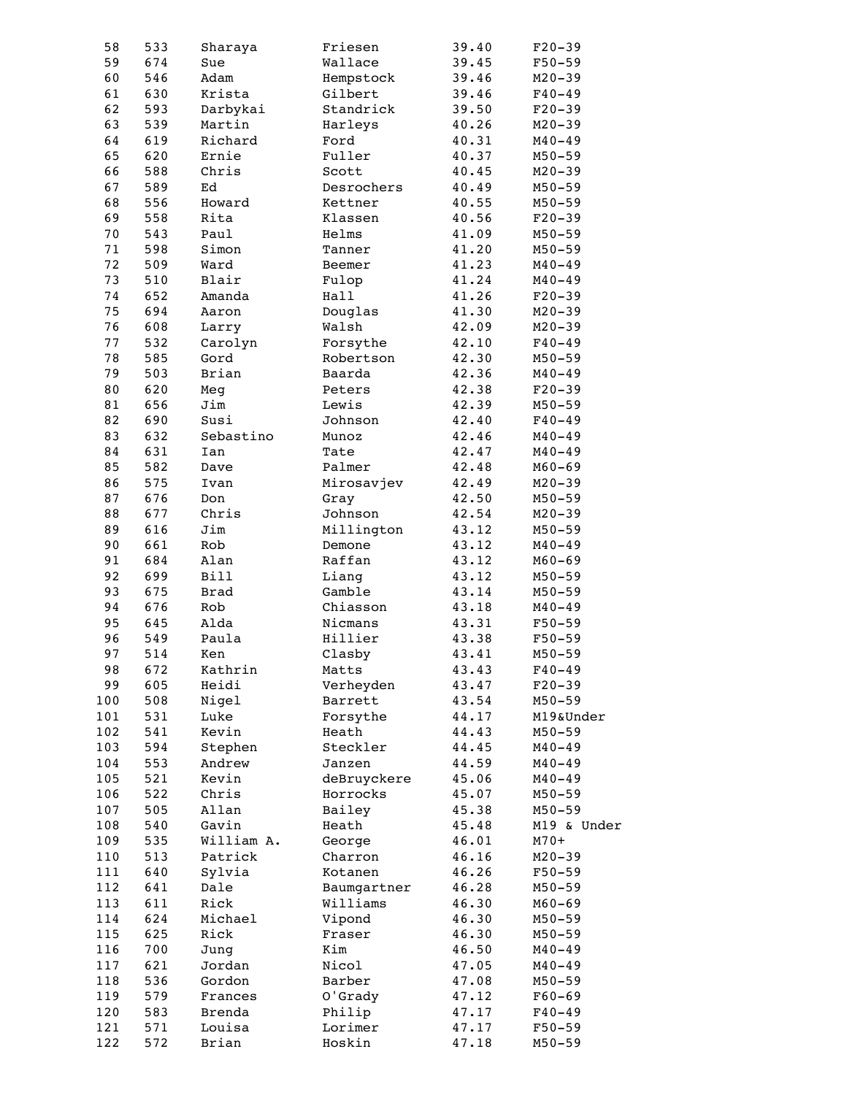| 58     | 533 | Sharaya     | Friesen     | 39.40 | $F20-39$    |
|--------|-----|-------------|-------------|-------|-------------|
| 59     | 674 | Sue         | Wallace     | 39.45 | $F50 - 59$  |
| 60     | 546 | Adam        | Hempstock   | 39.46 | $M20 - 39$  |
| 61     | 630 | Krista      | Gilbert     | 39.46 | $F40 - 49$  |
| 62     | 593 | Darbykai    | Standrick   | 39.50 | $F20 - 39$  |
| 63     | 539 | Martin      | Harleys     | 40.26 | $M20 - 39$  |
| 64     | 619 | Richard     | Ford        | 40.31 | $M40 - 49$  |
| 65     | 620 | Ernie       | Fuller      | 40.37 | $M50 - 59$  |
|        |     |             |             |       |             |
| 66     | 588 | Chris       | Scott       | 40.45 | $M20 - 39$  |
| 67     | 589 | Ed          | Desrochers  | 40.49 | $M50 - 59$  |
| 68     | 556 | Howard      | Kettner     | 40.55 | $M50 - 59$  |
| 69     | 558 | Rita        | Klassen     | 40.56 | $F20-39$    |
| 70     | 543 | Paul        | Helms       | 41.09 | $M50 - 59$  |
| 71     | 598 | Simon       | Tanner      | 41.20 | $M50 - 59$  |
| 72     | 509 | Ward        | Beemer      | 41.23 | $M40 - 49$  |
| 73     | 510 | Blair       | Fulop       | 41.24 | $M40 - 49$  |
| 74     | 652 | Amanda      | Hall        | 41.26 | $F20-39$    |
| 75     | 694 | Aaron       | Douglas     | 41.30 | $M20 - 39$  |
| 76     | 608 | Larry       | Walsh       | 42.09 | $M20 - 39$  |
| 77     | 532 | Carolyn     | Forsythe    | 42.10 | $F40 - 49$  |
| $7\,8$ | 585 | Gord        | Robertson   | 42.30 | $M50 - 59$  |
|        |     |             |             |       |             |
| 79     | 503 | Brian       | Baarda      | 42.36 | $M40 - 49$  |
| $8\,0$ | 620 | Meg         | Peters      | 42.38 | $F20-39$    |
| 81     | 656 | Jim         | Lewis       | 42.39 | $M50 - 59$  |
| 82     | 690 | Susi        | Johnson     | 42.40 | $F40 - 49$  |
| 83     | 632 | Sebastino   | Munoz       | 42.46 | $M40 - 49$  |
| 84     | 631 | Ian         | Tate        | 42.47 | $M40 - 49$  |
| 85     | 582 | Dave        | Palmer      | 42.48 | $M60 - 69$  |
| 86     | 575 | Ivan        | Mirosavjev  | 42.49 | $M20 - 39$  |
| 87     | 676 | Don         | Gray        | 42.50 | $M50 - 59$  |
| 88     | 677 | Chris       | Johnson     | 42.54 | $M20 - 39$  |
| 89     | 616 | Jim         | Millington  | 43.12 | $M50 - 59$  |
| 90     | 661 | Rob         | Demone      | 43.12 | $M40 - 49$  |
|        |     |             |             |       |             |
| 91     | 684 | Alan        | Raffan      | 43.12 | $M60 - 69$  |
| 92     | 699 | <b>Bill</b> | Liang       | 43.12 | $M50 - 59$  |
| 93     | 675 | Brad        | Gamble      | 43.14 | $M50 - 59$  |
| 94     | 676 | Rob         | Chiasson    | 43.18 | $M40 - 49$  |
| 95     | 645 | Alda        | Nicmans     | 43.31 | $F50 - 59$  |
| 96     | 549 | Paula       | Hillier     | 43.38 | $F50 - 59$  |
| 97     | 514 | Ken         | Clasby      | 43.41 | $M50 - 59$  |
| 98     | 672 | Kathrin     | Matts       | 43.43 | $F40 - 49$  |
| 99     | 605 | Heidi       | Verheyden   | 43.47 | $F20-39$    |
| 100    | 508 | Nigel       | Barrett     | 43.54 | $M50 - 59$  |
| 101    | 531 | Luke        | Forsythe    | 44.17 | M19&Under   |
| 102    | 541 | Kevin       | Heath       | 44.43 | $M50 - 59$  |
| 103    | 594 | Stephen     | Steckler    | 44.45 | $M40 - 49$  |
|        |     |             |             |       |             |
| 104    | 553 | Andrew      | Janzen      | 44.59 | $M40 - 49$  |
| 105    | 521 | Kevin       | deBruyckere | 45.06 | $M40 - 49$  |
| 106    | 522 | Chris       | Horrocks    | 45.07 | $M50 - 59$  |
| 107    | 505 | Allan       | Bailey      | 45.38 | $M50 - 59$  |
| 108    | 540 | Gavin       | Heath       | 45.48 | M19 & Under |
| 109    | 535 | William A.  | George      | 46.01 | $M70+$      |
| 110    | 513 | Patrick     | Charron     | 46.16 | $M20 - 39$  |
| 111    | 640 | Sylvia      | Kotanen     | 46.26 | $F50 - 59$  |
| 112    | 641 | Dale        | Baumgartner | 46.28 | $M50 - 59$  |
| 113    | 611 | Rick        | Williams    | 46.30 | $M60 - 69$  |
| 114    | 624 | Michael     | Vipond      | 46.30 | $M50 - 59$  |
| 115    | 625 | Rick        | Fraser      | 46.30 | $M50 - 59$  |
| 116    | 700 |             | Kim         | 46.50 | $M40 - 49$  |
|        |     | Jung        |             |       |             |
| 117    | 621 | Jordan      | Nicol       | 47.05 | $M40 - 49$  |
| 118    | 536 | Gordon      | Barber      | 47.08 | $M50 - 59$  |
| 119    | 579 | Frances     | O'Grady     | 47.12 | $F60 - 69$  |
| 120    | 583 | Brenda      | Philip      | 47.17 | $F40 - 49$  |
| 121    | 571 | Louisa      | Lorimer     | 47.17 | $F50 - 59$  |
| 122    | 572 | Brian       | Hoskin      | 47.18 | $M50 - 59$  |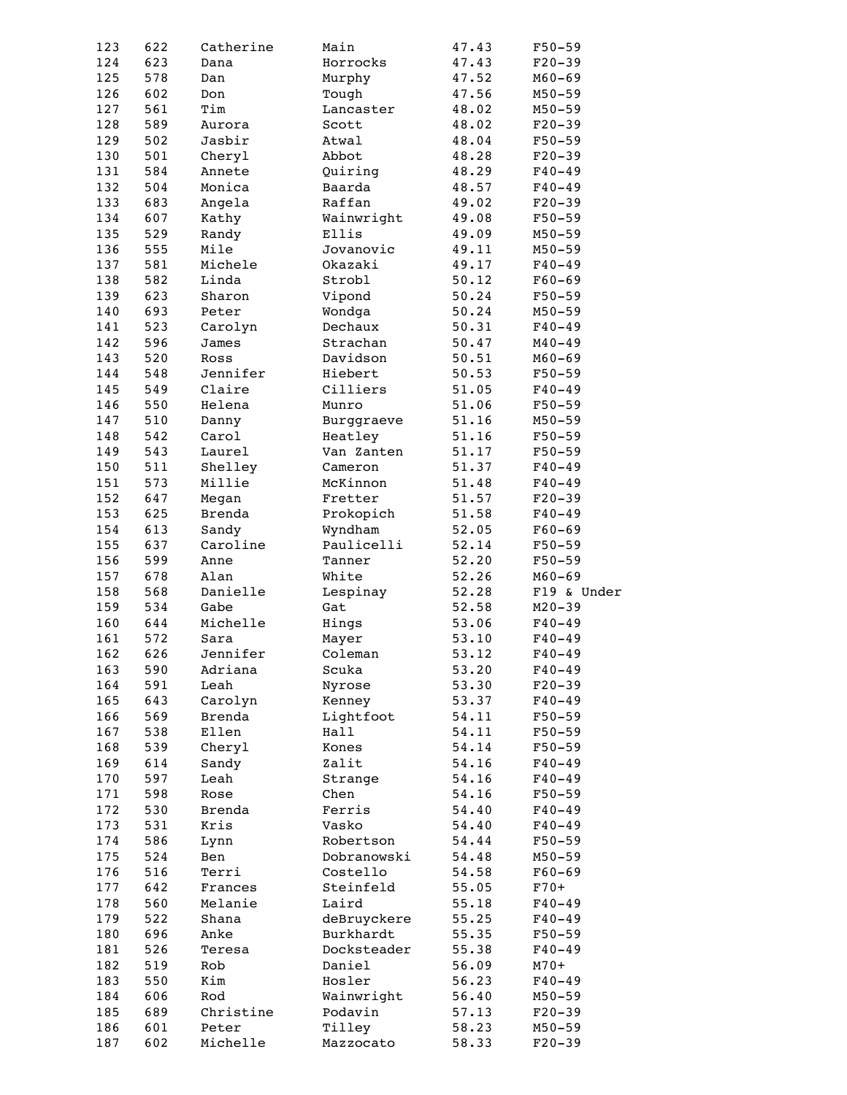| 123        | 622        | Catherine         | Main                | 47.43          | $F50 - 59$             |
|------------|------------|-------------------|---------------------|----------------|------------------------|
| 124        | 623        | Dana              | Horrocks            | 47.43          | $F20-39$               |
|            |            |                   |                     |                |                        |
| 125        | 578        | Dan               | Murphy              | 47.52          | $M60 - 69$             |
| 126        | 602        | Don               | Tough               | 47.56          | $M50 - 59$             |
| 127        | 561        | Tim               | Lancaster           | 48.02          | $M50 - 59$             |
| 128        | 589        | Aurora            | Scott               | 48.02          | $F20-39$               |
| 129        | 502        | Jasbir            | Atwal               | 48.04          | $F50 - 59$             |
| 130        | 501        |                   |                     |                |                        |
|            |            | Cheryl            | Abbot               | 48.28          | $F20-39$               |
| 131        | 584        | Annete            | Quiring             | 48.29          | $F40 - 49$             |
| 132        | 504        | Monica            | Baarda              | 48.57          | $F40 - 49$             |
| 133        | 683        | Angela            | Raffan              | 49.02          | $F20-39$               |
| 134        | 607        | Kathy             | Wainwright          | 49.08          | $F50 - 59$             |
| 135        | 529        | Randy             | Ellis               | 49.09          | $M50 - 59$             |
| 136        | 555        | Mile              | Jovanovic           | 49.11          | $M50 - 59$             |
| 137        | 581        | Michele           | Okazaki             |                |                        |
|            |            |                   |                     | 49.17          | $F40 - 49$             |
| 138        | 582        | Linda             | Strobl              | 50.12          | $F60 - 69$             |
| 139        | 623        | Sharon            | Vipond              | 50.24          | $F50 - 59$             |
| 140        | 693        | Peter             | Wondga              | 50.24          | $M50 - 59$             |
| 141        | 523        | Carolyn           | Dechaux             | 50.31          | $F40 - 49$             |
| 142        | 596        | James             | Strachan            | 50.47          | $M40 - 49$             |
| 143        | 520        | Ross              | Davidson            | 50.51          | $M60 - 69$             |
|            |            |                   |                     |                |                        |
| 144        | 548        | Jennifer          | Hiebert             | 50.53          | $F50 - 59$             |
| 145        | 549        | Claire            | Cilliers            | 51.05          | $F40 - 49$             |
| 146        | 550        | Helena            | Munro               | 51.06          | $F50 - 59$             |
| 147        | 510        | Danny             | Burggraeve          | 51.16          | $M50 - 59$             |
| 148        | 542        | Carol             | Heatley             | 51.16          | $F50 - 59$             |
| 149        | 543        | Laurel            | Van Zanten          | 51.17          | $F50 - 59$             |
| 150        |            | Shelley           |                     |                | $F40 - 49$             |
|            | 511        |                   | Cameron             | 51.37          |                        |
| 151        | 573        | Millie            | McKinnon            | 51.48          | $F40 - 49$             |
| 152        | 647        | Megan             | Fretter             | 51.57          | $F20-39$               |
| 153        | 625        | Brenda            | Prokopich           | 51.58          | $F40 - 49$             |
| 154        | 613        | Sandy             | Wyndham             | 52.05          | $F60 - 69$             |
| 155        | 637        | Caroline          | Paulicelli          | 52.14          | $F50 - 59$             |
| 156        | 599        | Anne              | Tanner              | 52.20          | $F50 - 59$             |
|            | 678        |                   |                     | 52.26          |                        |
| 157        |            | Alan              | White               |                | $M60 - 69$             |
|            |            |                   |                     |                |                        |
| 158        | 568        | Danielle          | Lespinay            | 52.28          | F19 & Under            |
| 159        | 534        | Gabe              | Gat                 | 52.58          | $M20 - 39$             |
| 160        | 644        | Michelle          | Hings               | 53.06          | $F40 - 49$             |
|            |            |                   |                     |                |                        |
| 161        | 572        | Sara              | Mayer               | 53.10          | $F40 - 49$             |
| 162        | 626        | Jennifer          | Coleman             | 53.12          | $F40 - 49$             |
| 163        | 590        | Adriana           | Scuka               | 53.20          | $F40 - 49$             |
| 164        | 591        | Leah              | Nyrose              | 53.30          | $F20-39$               |
| 165        | 643        | Carolyn           | Kenney              | 53.37          | $F40 - 49$             |
| 166        | 569        | Brenda            | Lightfoot           | 54.11          | $F50 - 59$             |
| 167        | 538        | Ellen             | Hall                | 54.11          | $F50 - 59$             |
|            |            |                   |                     |                |                        |
| 168        | 539        | Cheryl            | Kones               | 54.14          | $F50 - 59$             |
| 169        | 614        | Sandy             | Zalit               | 54.16          | $F40 - 49$             |
| 170        | 597        | Leah              | Strange             | 54.16          | $F40 - 49$             |
| 171        | 598        | Rose              | Chen                | 54.16          | $F50 - 59$             |
| 172        | 530        | <b>Brenda</b>     | Ferris              | 54.40          | $F40 - 49$             |
| 173        | 531        | Kris              | Vasko               | 54.40          | $F40 - 49$             |
| 174        | 586        |                   | Robertson           | 54.44          | $F50 - 59$             |
|            |            | Lynn              |                     |                |                        |
| 175        | 524        | Ben               | Dobranowski         | 54.48          | $M50 - 59$             |
| 176        | 516        | Terri             | Costello            | 54.58          | $F60 - 69$             |
| 177        | 642        | Frances           | Steinfeld           | 55.05          | $F70+$                 |
| 178        | 560        | Melanie           | Laird               | 55.18          | $F40 - 49$             |
| 179        | 522        | Shana             | deBruyckere         | 55.25          | $F40 - 49$             |
| 180        | 696        | Anke              | Burkhardt           | 55.35          | $F50 - 59$             |
| 181        | 526        | Teresa            | Docksteader         | 55.38          | $F40 - 49$             |
|            |            |                   |                     |                |                        |
| 182        | 519        | Rob               | Daniel              | 56.09          | $M70+$                 |
| 183        | 550        | Kim               | Hosler              | 56.23          | $F40 - 49$             |
| 184        | 606        | Rod               | Wainwright          | 56.40          | $M50 - 59$             |
| 185        | 689        | Christine         | Podavin             | 57.13          | $F20-39$               |
| 186<br>187 | 601<br>602 | Peter<br>Michelle | Tilley<br>Mazzocato | 58.23<br>58.33 | $M50 - 59$<br>$F20-39$ |